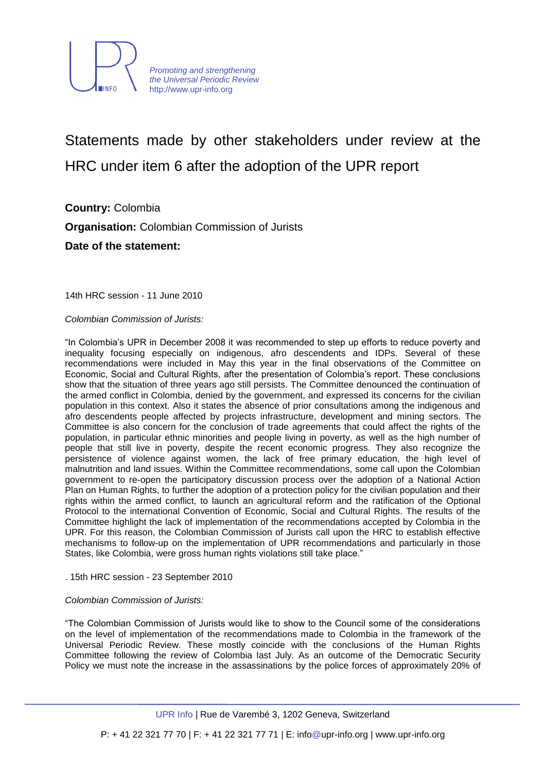

Statements made by other stakeholders under review at the HRC under item 6 after the adoption of the UPR report

**Country:** Colombia **Organisation:** Colombian Commission of Jurists **Date of the statement:**

14th HRC session - 11 June 2010

*Colombian Commission of Jurists:*

"In Colombia"s UPR in December 2008 it was recommended to step up efforts to reduce poverty and inequality focusing especially on indigenous, afro descendents and IDPs. Several of these recommendations were included in May this year in the final observations of the Committee on Economic, Social and Cultural Rights, after the presentation of Colombia"s report. These conclusions show that the situation of three years ago still persists. The Committee denounced the continuation of the armed conflict in Colombia, denied by the government, and expressed its concerns for the civilian population in this context. Also it states the absence of prior consultations among the indigenous and afro descendents people affected by projects infrastructure, development and mining sectors. The Committee is also concern for the conclusion of trade agreements that could affect the rights of the population, in particular ethnic minorities and people living in poverty, as well as the high number of people that still live in poverty, despite the recent economic progress. They also recognize the persistence of violence against women, the lack of free primary education, the high level of malnutrition and land issues. Within the Committee recommendations, some call upon the Colombian government to re-open the participatory discussion process over the adoption of a National Action Plan on Human Rights, to further the adoption of a protection policy for the civilian population and their rights within the armed conflict, to launch an agricultural reform and the ratification of the Optional Protocol to the international Convention of Economic, Social and Cultural Rights. The results of the Committee highlight the lack of implementation of the recommendations accepted by Colombia in the UPR. For this reason, the Colombian Commission of Jurists call upon the HRC to establish effective mechanisms to follow-up on the implementation of UPR recommendations and particularly in those States, like Colombia, were gross human rights violations still take place."

#### . 15th HRC session - 23 September 2010

#### *Colombian Commission of Jurists:*

"The Colombian Commission of Jurists would like to show to the Council some of the considerations on the level of implementation of the recommendations made to Colombia in the framework of the Universal Periodic Review. These mostly coincide with the conclusions of the Human Rights Committee following the review of Colombia last July. As an outcome of the Democratic Security Policy we must note the increase in the assassinations by the police forces of approximately 20% of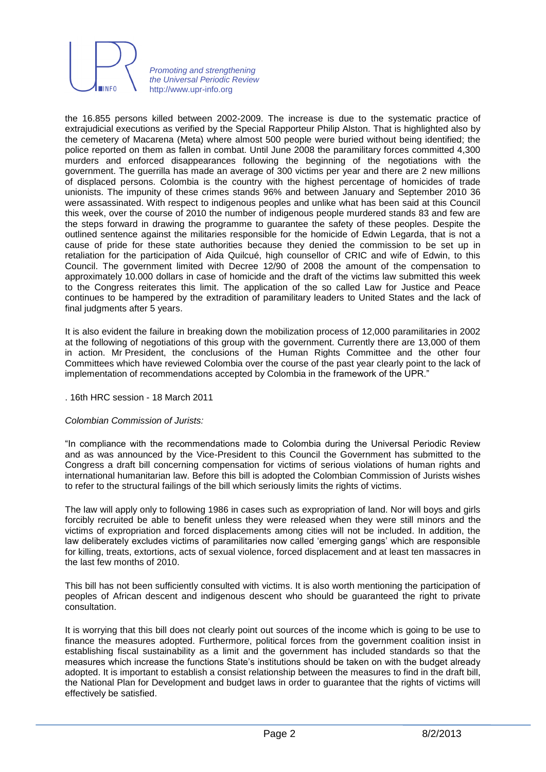

the 16.855 persons killed between 2002-2009. The increase is due to the systematic practice of extrajudicial executions as verified by the Special Rapporteur Philip Alston. That is highlighted also by the cemetery of Macarena (Meta) where almost 500 people were buried without being identified; the police reported on them as fallen in combat. Until June 2008 the paramilitary forces committed 4,300 murders and enforced disappearances following the beginning of the negotiations with the government. The guerrilla has made an average of 300 victims per year and there are 2 new millions of displaced persons. Colombia is the country with the highest percentage of homicides of trade unionists. The impunity of these crimes stands 96% and between January and September 2010 36 were assassinated. With respect to indigenous peoples and unlike what has been said at this Council this week, over the course of 2010 the number of indigenous people murdered stands 83 and few are the steps forward in drawing the programme to guarantee the safety of these peoples. Despite the outlined sentence against the militaries responsible for the homicide of Edwin Legarda, that is not a cause of pride for these state authorities because they denied the commission to be set up in retaliation for the participation of Aida Quilcué, high counsellor of CRIC and wife of Edwin, to this Council. The government limited with Decree 12/90 of 2008 the amount of the compensation to approximately 10.000 dollars in case of homicide and the draft of the victims law submitted this week to the Congress reiterates this limit. The application of the so called Law for Justice and Peace continues to be hampered by the extradition of paramilitary leaders to United States and the lack of final judgments after 5 years.

It is also evident the failure in breaking down the mobilization process of 12,000 paramilitaries in 2002 at the following of negotiations of this group with the government. Currently there are 13,000 of them in action. Mr President, the conclusions of the Human Rights Committee and the other four Committees which have reviewed Colombia over the course of the past year clearly point to the lack of implementation of recommendations accepted by Colombia in the framework of the UPR."

# . 16th HRC session - 18 March 2011

# *Colombian Commission of Jurists:*

"In compliance with the recommendations made to Colombia during the Universal Periodic Review and as was announced by the Vice-President to this Council the Government has submitted to the Congress a draft bill concerning compensation for victims of serious violations of human rights and international humanitarian law. Before this bill is adopted the Colombian Commission of Jurists wishes to refer to the structural failings of the bill which seriously limits the rights of victims.

The law will apply only to following 1986 in cases such as expropriation of land. Nor will boys and girls forcibly recruited be able to benefit unless they were released when they were still minors and the victims of expropriation and forced displacements among cities will not be included. In addition, the law deliberately excludes victims of paramilitaries now called "emerging gangs" which are responsible for killing, treats, extortions, acts of sexual violence, forced displacement and at least ten massacres in the last few months of 2010.

This bill has not been sufficiently consulted with victims. It is also worth mentioning the participation of peoples of African descent and indigenous descent who should be guaranteed the right to private consultation.

It is worrying that this bill does not clearly point out sources of the income which is going to be use to finance the measures adopted. Furthermore, political forces from the government coalition insist in establishing fiscal sustainability as a limit and the government has included standards so that the measures which increase the functions State"s institutions should be taken on with the budget already adopted. It is important to establish a consist relationship between the measures to find in the draft bill, the National Plan for Development and budget laws in order to guarantee that the rights of victims will effectively be satisfied.